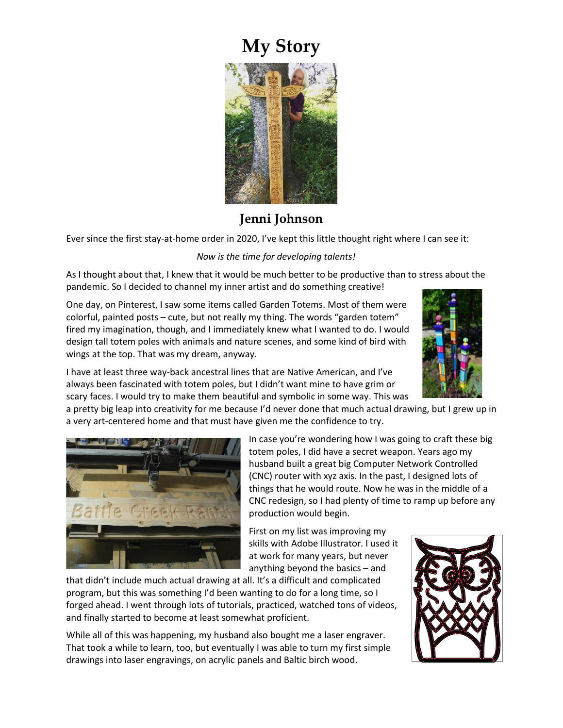## **My Story**



## **Jenni Johnson**

Ever since the first stay-at-home order in 2020, I've kept this little thought right where I can see it:

## *Now is the time for developing talents!*

As I thought about that, I knew that it would be much better to be productive than to stress about the pandemic. So I decided to channel my inner artist and do something creative!

One day, on Pinterest, I saw some items called Garden Totems. Most of them were colorful, painted posts – cute, but not really my thing. The words "garden totem" fired my imagination, though, and I immediately knew what I wanted to do. I would design tall totem poles with animals and nature scenes, and some kind of bird with wings at the top. That was my dream, anyway.



I have at least three way-back ancestral lines that are Native American, and I've always been fascinated with totem poles, but I didn't want mine to have grim or scary faces. I would try to make them beautiful and symbolic in some way. This was

a pretty big leap into creativity for me because I'd never done that much actual drawing, but I grew up in a very art-centered home and that must have given me the confidence to try.



In case you're wondering how I was going to craft these big totem poles, I did have a secret weapon. Years ago my husband built a great big Computer Network Controlled (CNC) router with xyz axis. In the past, I designed lots of things that he would route. Now he was in the middle of a CNC redesign, so I had plenty of time to ramp up before any production would begin.

First on my list was improving my skills with Adobe Illustrator. I used it at work for many years, but never anything beyond the basics – and

that didn't include much actual drawing at all. It's a difficult and complicated program, but this was something I'd been wanting to do for a long time, so I forged ahead. I went through lots of tutorials, practiced, watched tons of videos, and finally started to become at least somewhat proficient.

While all of this was happening, my husband also bought me a laser engraver. That took a while to learn, too, but eventually I was able to turn my first simple drawings into laser engravings, on acrylic panels and Baltic birch wood.